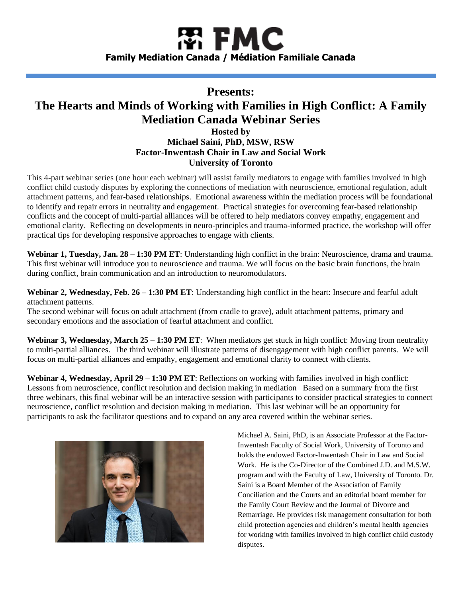# 閣 FMC **Family Mediation Canada / Médiation Familiale Canada**

# **Presents: The Hearts and Minds of Working with Families in High Conflict: A Family Mediation Canada Webinar Series Hosted by Michael Saini, PhD, MSW, RSW Factor-Inwentash Chair in Law and Social Work University of Toronto**

This 4-part webinar series (one hour each webinar) will assist family mediators to engage with families involved in high conflict child custody disputes by exploring the connections of mediation with neuroscience, emotional regulation, adult attachment patterns, and fear-based relationships. Emotional awareness within the mediation process will be foundational to identify and repair errors in neutrality and engagement. Practical strategies for overcoming fear-based relationship conflicts and the concept of multi-partial alliances will be offered to help mediators convey empathy, engagement and emotional clarity. Reflecting on developments in neuro-principles and trauma-informed practice, the workshop will offer practical tips for developing responsive approaches to engage with clients.

**Webinar 1, Tuesday, Jan. 28 – 1:30 PM ET**: Understanding high conflict in the brain: Neuroscience, drama and trauma. This first webinar will introduce you to neuroscience and trauma. We will focus on the basic brain functions, the brain during conflict, brain communication and an introduction to neuromodulators.

**Webinar 2, Wednesday, Feb. 26 – 1:30 PM ET**: Understanding high conflict in the heart: Insecure and fearful adult attachment patterns.

The second webinar will focus on adult attachment (from cradle to grave), adult attachment patterns, primary and secondary emotions and the association of fearful attachment and conflict.

**Webinar 3, Wednesday, March 25 – 1:30 PM ET**: When mediators get stuck in high conflict: Moving from neutrality to multi-partial alliances. The third webinar will illustrate patterns of disengagement with high conflict parents. We will focus on multi-partial alliances and empathy, engagement and emotional clarity to connect with clients.

**Webinar 4, Wednesday, April 29 – 1:30 PM ET**: Reflections on working with families involved in high conflict: Lessons from neuroscience, conflict resolution and decision making in mediation Based on a summary from the first three webinars, this final webinar will be an interactive session with participants to consider practical strategies to connect neuroscience, conflict resolution and decision making in mediation. This last webinar will be an opportunity for participants to ask the facilitator questions and to expand on any area covered within the webinar series.



Michael A. Saini, PhD, is an Associate Professor at the Factor-Inwentash Faculty of Social Work, University of Toronto and holds the endowed Factor-Inwentash Chair in Law and Social Work. He is the Co-Director of the Combined J.D. and M.S.W. program and with the Faculty of Law, University of Toronto. Dr. Saini is a Board Member of the Association of Family Conciliation and the Courts and an editorial board member for the Family Court Review and the Journal of Divorce and Remarriage. He provides risk management consultation for both child protection agencies and children's mental health agencies for working with families involved in high conflict child custody disputes.